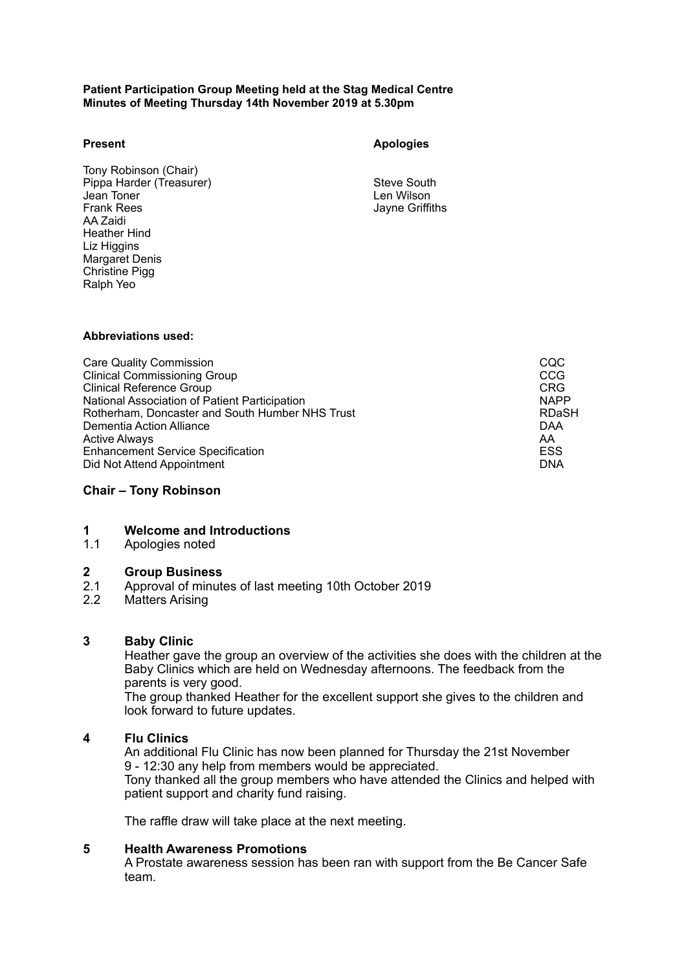#### **Patient Participation Group Meeting held at the Stag Medical Centre Minutes of Meeting Thursday 14th November 2019 at 5.30pm**

#### **Present**

 Tony Robinson (Chair) Jean Toner<br>Frank Rees AA Zaidi Margaret Denis Christine Pigg Pippa Harder (Treasurer) Steve South Heather Hind Liz Higgins Ralph Yeo

### **Apologies**

Len Wilson Jayne Griffiths

#### **Abbreviations used:**

| <b>Care Quality Commission</b>                  | CQC         |
|-------------------------------------------------|-------------|
| <b>Clinical Commissioning Group</b>             | CCG         |
| Clinical Reference Group                        | <b>CRG</b>  |
| National Association of Patient Participation   | <b>NAPP</b> |
| Rotherham, Doncaster and South Humber NHS Trust | RDaSH       |
| Dementia Action Alliance                        | DAA         |
| <b>Active Always</b>                            | AA          |
| <b>Enhancement Service Specification</b>        | <b>ESS</b>  |
| Did Not Attend Appointment                      | <b>DNA</b>  |

## **Chair – Tony Robinson**

### **1 Welcome and Introductions**

### 1.1 Apologies noted

# **2 Group Business**

- $2.1$ 2.1 Approval of minutes of last meeting 10th October 2019
- 2.2 Matters Arising

### **3 Baby Clinic**

 Heather gave the group an overview of the activities she does with the children at the Baby Clinics which are held on Wednesday afternoons. The feedback from the parents is very good.

 look forward to future updates. The group thanked Heather for the excellent support she gives to the children and

# **4 Flu Clinics**

 An additional Flu Clinic has now been planned for Thursday the 21st November Tony thanked all the group members who have attended the Clinics and helped with patient support and charity fund raising. 9 - 12:30 any help from members would be appreciated.

The raffle draw will take place at the next meeting.

### **5 Health Awareness Promotions**

A Prostate awareness session has been ran with support from the Be Cancer Safe team.